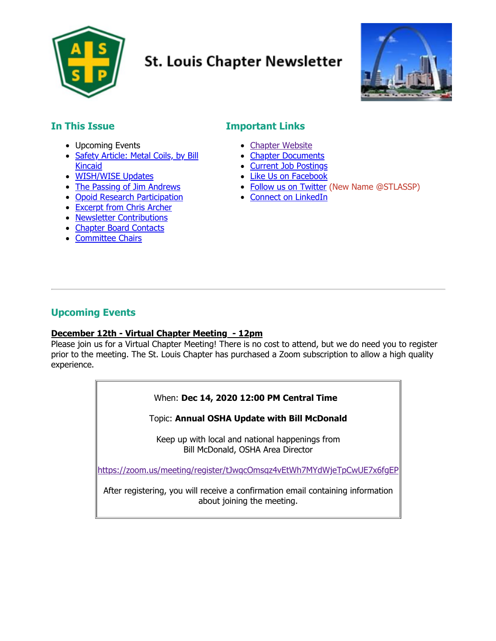

# **St. Louis Chapter Newsletter**



# **In This Issue**

- Upcoming Events
- **[Safety Article: Metal Coils, by Bill](#page-3-0)** Kincaid
- [WISH/WISE Updates](#page-4-0)
- The Passing of Jim Andrews
- [Opoid Research Participation](#page-6-0)
- **[Excerpt from Chris Archer](#page-6-1)**
- [Newsletter Contributions](#page-7-0)
- [Chapter Board Contacts](#page-8-0)
- [Committee Chairs](#page-8-1)

# **Important Links**

- [Chapter Website](https://stl.assp.org/)
- [Chapter Documents](https://stl.assp.org/files/)
- [Current Job Postings](https://stl.assp.org/current-openings/)
- [Like Us on Facebook](https://www.facebook.com/ASSESTL)
- [Follow us on Twitter](https://twitter.com/STLASSP) (New Name @STLASSP)
- [Connect on LinkedIn](https://www.linkedin.com/company/57968)

## **Upcoming Events**

#### **December 12th - Virtual Chapter Meeting - 12pm**

Please join us for a Virtual Chapter Meeting! There is no cost to attend, but we do need you to register prior to the meeting. The St. Louis Chapter has purchased a Zoom subscription to allow a high quality experience.

#### When: **Dec 14, 2020 12:00 PM Central Time**

Topic: **Annual OSHA Update with Bill McDonald**

Keep up with local and national happenings from Bill McDonald, OSHA Area Director

<https://zoom.us/meeting/register/tJwqcOmsqz4vEtWh7MYdWjeTpCwUE7x6fgEP>

After registering, you will receive a confirmation email containing information about joining the meeting.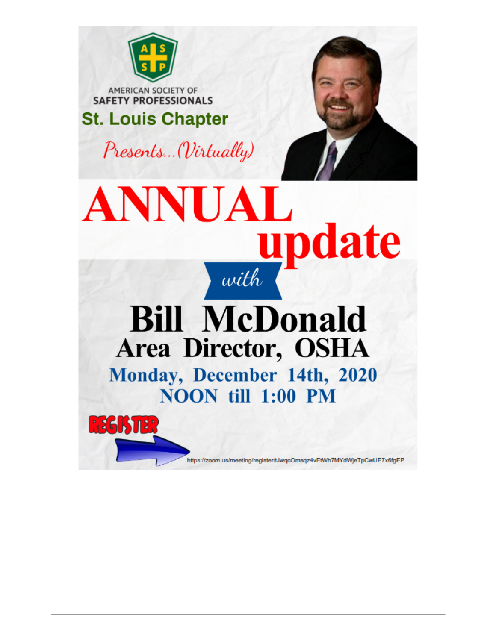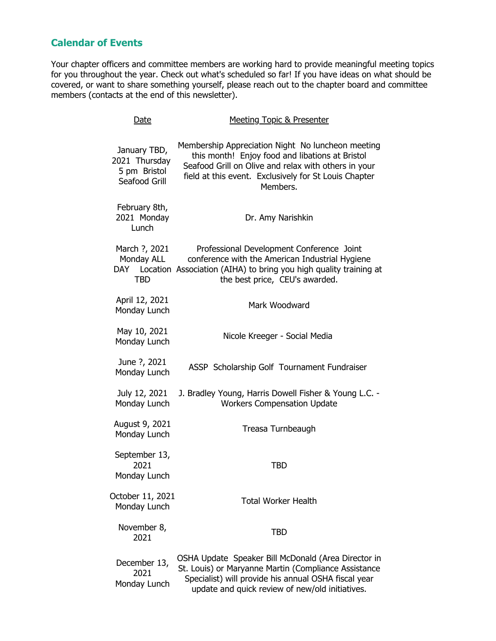# **Calendar of Events**

Your chapter officers and committee members are working hard to provide meaningful meeting topics for you throughout the year. Check out what's scheduled so far! If you have ideas on what should be covered, or want to share something yourself, please reach out to the chapter board and committee members (contacts at the end of this newsletter).

| Date                                                           | <b>Meeting Topic &amp; Presenter</b>                                                                                                                                                                                              |
|----------------------------------------------------------------|-----------------------------------------------------------------------------------------------------------------------------------------------------------------------------------------------------------------------------------|
| January TBD,<br>2021 Thursday<br>5 pm Bristol<br>Seafood Grill | Membership Appreciation Night No luncheon meeting<br>this month! Enjoy food and libations at Bristol<br>Seafood Grill on Olive and relax with others in your<br>field at this event. Exclusively for St Louis Chapter<br>Members. |
| February 8th,<br>2021 Monday<br>Lunch                          | Dr. Amy Narishkin                                                                                                                                                                                                                 |
| March ?, 2021<br>Monday ALL<br><b>TBD</b>                      | Professional Development Conference Joint<br>conference with the American Industrial Hygiene<br>DAY Location Association (AIHA) to bring you high quality training at<br>the best price, CEU's awarded.                           |
| April 12, 2021<br>Monday Lunch                                 | Mark Woodward                                                                                                                                                                                                                     |
| May 10, 2021<br>Monday Lunch                                   | Nicole Kreeger - Social Media                                                                                                                                                                                                     |
| June ?, 2021<br>Monday Lunch                                   | ASSP Scholarship Golf Tournament Fundraiser                                                                                                                                                                                       |
| July 12, 2021<br>Monday Lunch                                  | J. Bradley Young, Harris Dowell Fisher & Young L.C. -<br><b>Workers Compensation Update</b>                                                                                                                                       |
| August 9, 2021<br>Monday Lunch                                 | Treasa Turnbeaugh                                                                                                                                                                                                                 |
| September 13,<br>2021<br>Monday Lunch                          | <b>TBD</b>                                                                                                                                                                                                                        |
| October 11, 2021<br>Monday Lunch                               | <b>Total Worker Health</b>                                                                                                                                                                                                        |
| November 8,<br>2021                                            | <b>TBD</b>                                                                                                                                                                                                                        |
| December 13,<br>2021<br>Monday Lunch                           | OSHA Update Speaker Bill McDonald (Area Director in<br>St. Louis) or Maryanne Martin (Compliance Assistance<br>Specialist) will provide his annual OSHA fiscal year<br>update and quick review of new/old initiatives.            |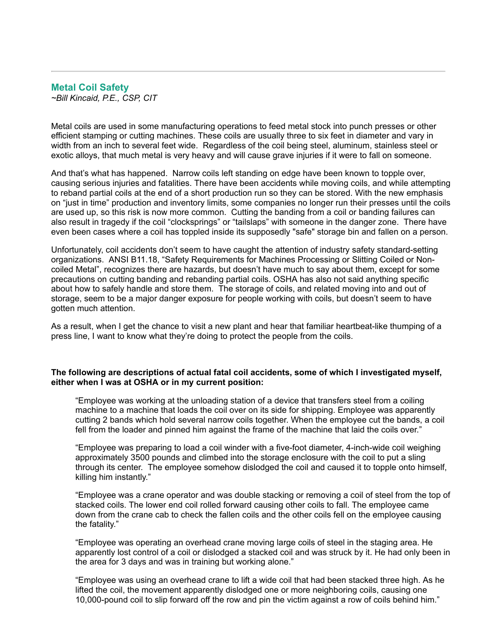## <span id="page-3-0"></span>**Metal Coil Safety**

*~Bill Kincaid, P.E., CSP, CIT*

Metal coils are used in some manufacturing operations to feed metal stock into punch presses or other efficient stamping or cutting machines. These coils are usually three to six feet in diameter and vary in width from an inch to several feet wide. Regardless of the coil being steel, aluminum, stainless steel or exotic alloys, that much metal is very heavy and will cause grave injuries if it were to fall on someone.

And that's what has happened. Narrow coils left standing on edge have been known to topple over, causing serious injuries and fatalities. There have been accidents while moving coils, and while attempting to reband partial coils at the end of a short production run so they can be stored. With the new emphasis on "just in time" production and inventory limits, some companies no longer run their presses until the coils are used up, so this risk is now more common. Cutting the banding from a coil or banding failures can also result in tragedy if the coil "clocksprings" or "tailslaps" with someone in the danger zone. There have even been cases where a coil has toppled inside its supposedly "safe" storage bin and fallen on a person.

Unfortunately, coil accidents don't seem to have caught the attention of industry safety standard-setting organizations. ANSI B11.18, "Safety Requirements for Machines Processing or Slitting Coiled or Noncoiled Metal", recognizes there are hazards, but doesn't have much to say about them, except for some precautions on cutting banding and rebanding partial coils. OSHA has also not said anything specific about how to safely handle and store them. The storage of coils, and related moving into and out of storage, seem to be a major danger exposure for people working with coils, but doesn't seem to have gotten much attention.

As a result, when I get the chance to visit a new plant and hear that familiar heartbeat-like thumping of a press line, I want to know what they're doing to protect the people from the coils.

#### **The following are descriptions of actual fatal coil accidents, some of which I investigated myself, either when I was at OSHA or in my current position:**

"Employee was working at the unloading station of a device that transfers steel from a coiling machine to a machine that loads the coil over on its side for shipping. Employee was apparently cutting 2 bands which hold several narrow coils together. When the employee cut the bands, a coil fell from the loader and pinned him against the frame of the machine that laid the coils over."

"Employee was preparing to load a coil winder with a five-foot diameter, 4-inch-wide coil weighing approximately 3500 pounds and climbed into the storage enclosure with the coil to put a sling through its center. The employee somehow dislodged the coil and caused it to topple onto himself, killing him instantly."

"Employee was a crane operator and was double stacking or removing a coil of steel from the top of stacked coils. The lower end coil rolled forward causing other coils to fall. The employee came down from the crane cab to check the fallen coils and the other coils fell on the employee causing the fatality."

"Employee was operating an overhead crane moving large coils of steel in the staging area. He apparently lost control of a coil or dislodged a stacked coil and was struck by it. He had only been in the area for 3 days and was in training but working alone."

"Employee was using an overhead crane to lift a wide coil that had been stacked three high. As he lifted the coil, the movement apparently dislodged one or more neighboring coils, causing one 10,000-pound coil to slip forward off the row and pin the victim against a row of coils behind him."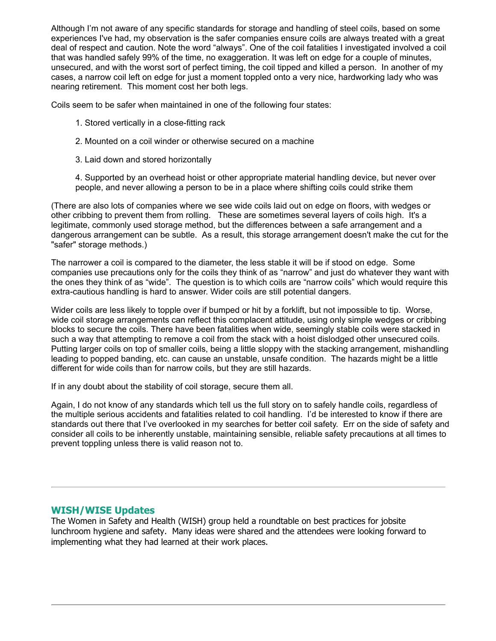Although I'm not aware of any specific standards for storage and handling of steel coils, based on some experiences I've had, my observation is the safer companies ensure coils are always treated with a great deal of respect and caution. Note the word "always". One of the coil fatalities I investigated involved a coil that was handled safely 99% of the time, no exaggeration. It was left on edge for a couple of minutes, unsecured, and with the worst sort of perfect timing, the coil tipped and killed a person. In another of my cases, a narrow coil left on edge for just a moment toppled onto a very nice, hardworking lady who was nearing retirement. This moment cost her both legs.

Coils seem to be safer when maintained in one of the following four states:

- 1. Stored vertically in a close-fitting rack
- 2. Mounted on a coil winder or otherwise secured on a machine
- 3. Laid down and stored horizontally

4. Supported by an overhead hoist or other appropriate material handling device, but never over people, and never allowing a person to be in a place where shifting coils could strike them

(There are also lots of companies where we see wide coils laid out on edge on floors, with wedges or other cribbing to prevent them from rolling. These are sometimes several layers of coils high. It's a legitimate, commonly used storage method, but the differences between a safe arrangement and a dangerous arrangement can be subtle. As a result, this storage arrangement doesn't make the cut for the "safer" storage methods.)

The narrower a coil is compared to the diameter, the less stable it will be if stood on edge. Some companies use precautions only for the coils they think of as "narrow" and just do whatever they want with the ones they think of as "wide". The question is to which coils are "narrow coils" which would require this extra-cautious handling is hard to answer. Wider coils are still potential dangers.

Wider coils are less likely to topple over if bumped or hit by a forklift, but not impossible to tip. Worse, wide coil storage arrangements can reflect this complacent attitude, using only simple wedges or cribbing blocks to secure the coils. There have been fatalities when wide, seemingly stable coils were stacked in such a way that attempting to remove a coil from the stack with a hoist dislodged other unsecured coils. Putting larger coils on top of smaller coils, being a little sloppy with the stacking arrangement, mishandling leading to popped banding, etc. can cause an unstable, unsafe condition. The hazards might be a little different for wide coils than for narrow coils, but they are still hazards.

If in any doubt about the stability of coil storage, secure them all.

Again, I do not know of any standards which tell us the full story on to safely handle coils, regardless of the multiple serious accidents and fatalities related to coil handling. I'd be interested to know if there are standards out there that I've overlooked in my searches for better coil safety. Err on the side of safety and consider all coils to be inherently unstable, maintaining sensible, reliable safety precautions at all times to prevent toppling unless there is valid reason not to.

## <span id="page-4-0"></span>**WISH/WISE Updates**

The Women in Safety and Health (WISH) group held a roundtable on best practices for jobsite lunchroom hygiene and safety. Many ideas were shared and the attendees were looking forward to implementing what they had learned at their work places.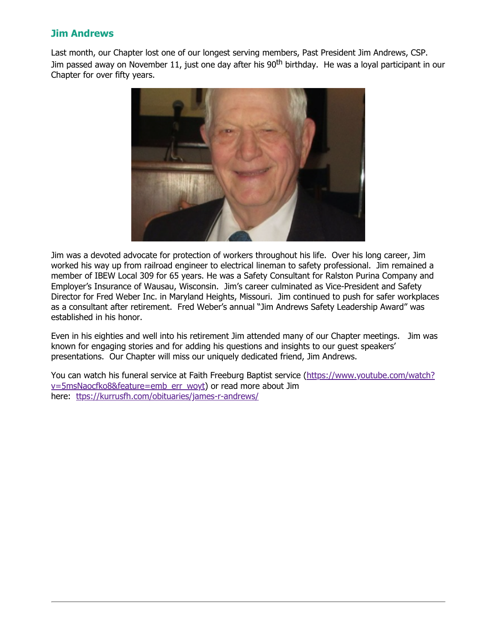## **Jim Andrews**

Last month, our Chapter lost one of our longest serving members, Past President Jim Andrews, CSP. Jim passed away on November 11, just one day after his 90<sup>th</sup> birthday. He was a loyal participant in our Chapter for over fifty years.



Jim was a devoted advocate for protection of workers throughout his life. Over his long career, Jim worked his way up from railroad engineer to electrical lineman to safety professional. Jim remained a member of IBEW Local 309 for 65 years. He was a Safety Consultant for Ralston Purina Company and Employer's Insurance of Wausau, Wisconsin. Jim's career culminated as Vice-President and Safety Director for Fred Weber Inc. in Maryland Heights, Missouri. Jim continued to push for safer workplaces as a consultant after retirement. Fred Weber's annual "Jim Andrews Safety Leadership Award" was established in his honor.

Even in his eighties and well into his retirement Jim attended many of our Chapter meetings. Jim was known for engaging stories and for adding his questions and insights to our guest speakers' presentations. Our Chapter will miss our uniquely dedicated friend, Jim Andrews.

[You can watch his funeral service at Faith Freeburg Baptist service \(https://www.youtube.com/watch?](https://www.youtube.com/watch?v=5msNaocfko8&feature=emb_err_woyt) v=5msNaocfko8&feature=emb\_err\_woyt) or read more about Jim here: [ttps://kurrusfh.com/obituaries/james-r-andrews/](https://kurrusfh.com/obituaries/james-r-andrews/)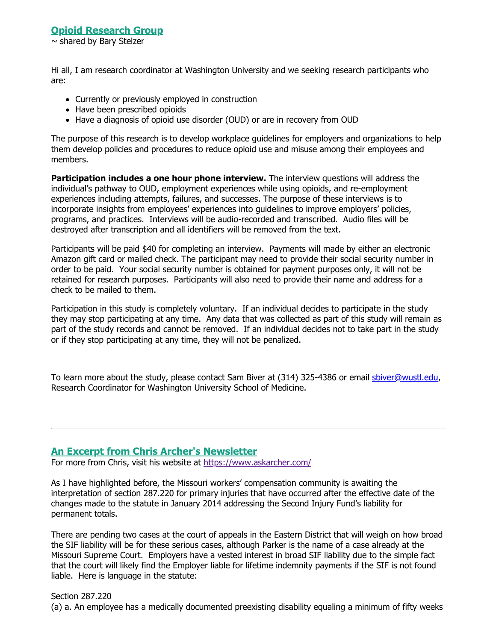## <span id="page-6-0"></span>**Opioid Research Group**

 $\sim$  shared by Bary Stelzer

Hi all, I am research coordinator at Washington University and we seeking research participants who are:

- Currently or previously employed in construction
- Have been prescribed opioids
- Have a diagnosis of opioid use disorder (OUD) or are in recovery from OUD

The purpose of this research is to develop workplace guidelines for employers and organizations to help them develop policies and procedures to reduce opioid use and misuse among their employees and members.

**Participation includes a one hour phone interview.** The interview questions will address the individual's pathway to OUD, employment experiences while using opioids, and re-employment experiences including attempts, failures, and successes. The purpose of these interviews is to incorporate insights from employees' experiences into guidelines to improve employers' policies, programs, and practices. Interviews will be audio-recorded and transcribed. Audio files will be destroyed after transcription and all identifiers will be removed from the text.

Participants will be paid \$40 for completing an interview. Payments will made by either an electronic Amazon gift card or mailed check. The participant may need to provide their social security number in order to be paid. Your social security number is obtained for payment purposes only, it will not be retained for research purposes. Participants will also need to provide their name and address for a check to be mailed to them.

Participation in this study is completely voluntary. If an individual decides to participate in the study they may stop participating at any time. Any data that was collected as part of this study will remain as part of the study records and cannot be removed. If an individual decides not to take part in the study or if they stop participating at any time, they will not be penalized.

To learn more about the study, please contact Sam Biver at (314) 325-4386 or email [sbiver@wustl.edu](mailto:sbiver@wustl.edu), Research Coordinator for Washington University School of Medicine.

#### <span id="page-6-1"></span>**An Excerpt from Chris Archer's Newsletter**

For more from Chris, visit his website at <https://www.askarcher.com/>

As I have highlighted before, the Missouri workers' compensation community is awaiting the interpretation of section 287.220 for primary injuries that have occurred after the effective date of the changes made to the statute in January 2014 addressing the Second Injury Fund's liability for permanent totals.

There are pending two cases at the court of appeals in the Eastern District that will weigh on how broad the SIF liability will be for these serious cases, although Parker is the name of a case already at the Missouri Supreme Court. Employers have a vested interest in broad SIF liability due to the simple fact that the court will likely find the Employer liable for lifetime indemnity payments if the SIF is not found liable. Here is language in the statute:

Section 287.220 (a) a. An employee has a medically documented preexisting disability equaling a minimum of fifty weeks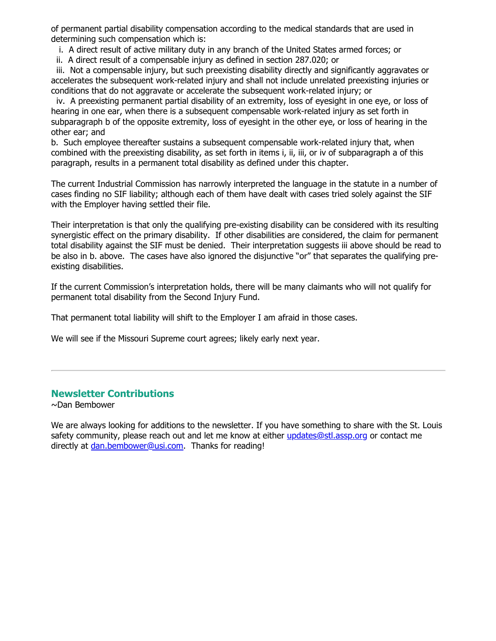of permanent partial disability compensation according to the medical standards that are used in determining such compensation which is:

i. A direct result of active military duty in any branch of the United States armed forces; or

ii. A direct result of a compensable injury as defined in section 287.020; or

 iii. Not a compensable injury, but such preexisting disability directly and significantly aggravates or accelerates the subsequent work-related injury and shall not include unrelated preexisting injuries or conditions that do not aggravate or accelerate the subsequent work-related injury; or

 iv. A preexisting permanent partial disability of an extremity, loss of eyesight in one eye, or loss of hearing in one ear, when there is a subsequent compensable work-related injury as set forth in subparagraph b of the opposite extremity, loss of eyesight in the other eye, or loss of hearing in the other ear; and

b. Such employee thereafter sustains a subsequent compensable work-related injury that, when combined with the preexisting disability, as set forth in items i, ii, iii, or iv of subparagraph a of this paragraph, results in a permanent total disability as defined under this chapter.

The current Industrial Commission has narrowly interpreted the language in the statute in a number of cases finding no SIF liability; although each of them have dealt with cases tried solely against the SIF with the Employer having settled their file.

Their interpretation is that only the qualifying pre-existing disability can be considered with its resulting synergistic effect on the primary disability. If other disabilities are considered, the claim for permanent total disability against the SIF must be denied. Their interpretation suggests iii above should be read to be also in b. above. The cases have also ignored the disjunctive "or" that separates the qualifying preexisting disabilities.

If the current Commission's interpretation holds, there will be many claimants who will not qualify for permanent total disability from the Second Injury Fund.

That permanent total liability will shift to the Employer I am afraid in those cases.

We will see if the Missouri Supreme court agrees; likely early next year.

## <span id="page-7-0"></span>**Newsletter Contributions**

~Dan Bembower

We are always looking for additions to the newsletter. If you have something to share with the St. Louis safety community, please reach out and let me know at either [updates@stl.assp.org](mailto:updates@stl.assp.org?subject=Newsletter%20Comments) or contact me directly at <u>dan.bembower@usi.com</u>. Thanks for reading!